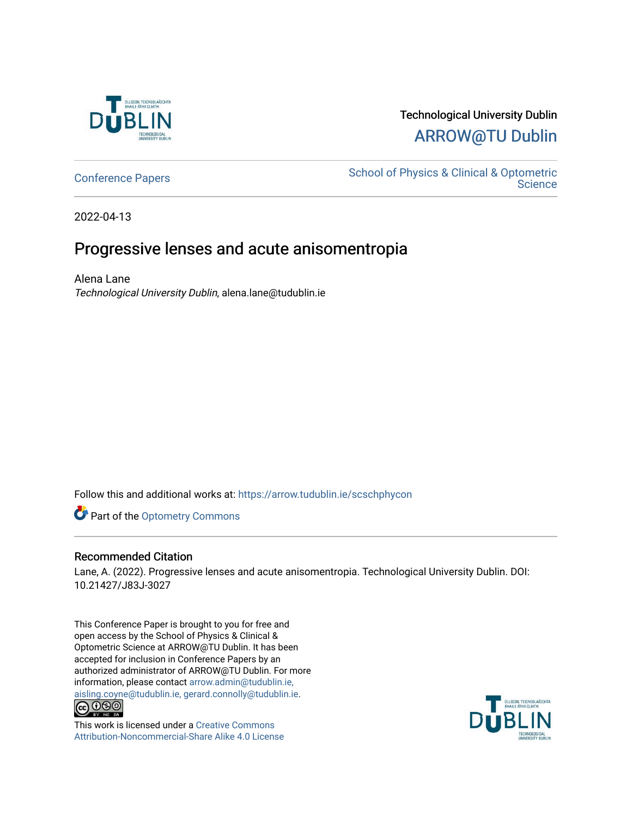

## Technological University Dublin [ARROW@TU Dublin](https://arrow.tudublin.ie/)

[Conference Papers](https://arrow.tudublin.ie/scschphycon) [School of Physics & Clinical & Optometric](https://arrow.tudublin.ie/scschphy)  **Science** 

2022-04-13

## Progressive lenses and acute anisomentropia

Alena Lane Technological University Dublin, alena.lane@tudublin.ie

Follow this and additional works at: [https://arrow.tudublin.ie/scschphycon](https://arrow.tudublin.ie/scschphycon?utm_source=arrow.tudublin.ie%2Fscschphycon%2F30&utm_medium=PDF&utm_campaign=PDFCoverPages) 

Part of the [Optometry Commons](http://network.bepress.com/hgg/discipline/730?utm_source=arrow.tudublin.ie%2Fscschphycon%2F30&utm_medium=PDF&utm_campaign=PDFCoverPages) 

## Recommended Citation

Lane, A. (2022). Progressive lenses and acute anisomentropia. Technological University Dublin. DOI: 10.21427/J83J-3027

This Conference Paper is brought to you for free and open access by the School of Physics & Clinical & Optometric Science at ARROW@TU Dublin. It has been accepted for inclusion in Conference Papers by an authorized administrator of ARROW@TU Dublin. For more information, please contact [arrow.admin@tudublin.ie,](mailto:arrow.admin@tudublin.ie,%20aisling.coyne@tudublin.ie,%20gerard.connolly@tudublin.ie)  [aisling.coyne@tudublin.ie, gerard.connolly@tudublin.ie](mailto:arrow.admin@tudublin.ie,%20aisling.coyne@tudublin.ie,%20gerard.connolly@tudublin.ie).<br>
© 090



This work is licensed under a [Creative Commons](http://creativecommons.org/licenses/by-nc-sa/4.0/) [Attribution-Noncommercial-Share Alike 4.0 License](http://creativecommons.org/licenses/by-nc-sa/4.0/)